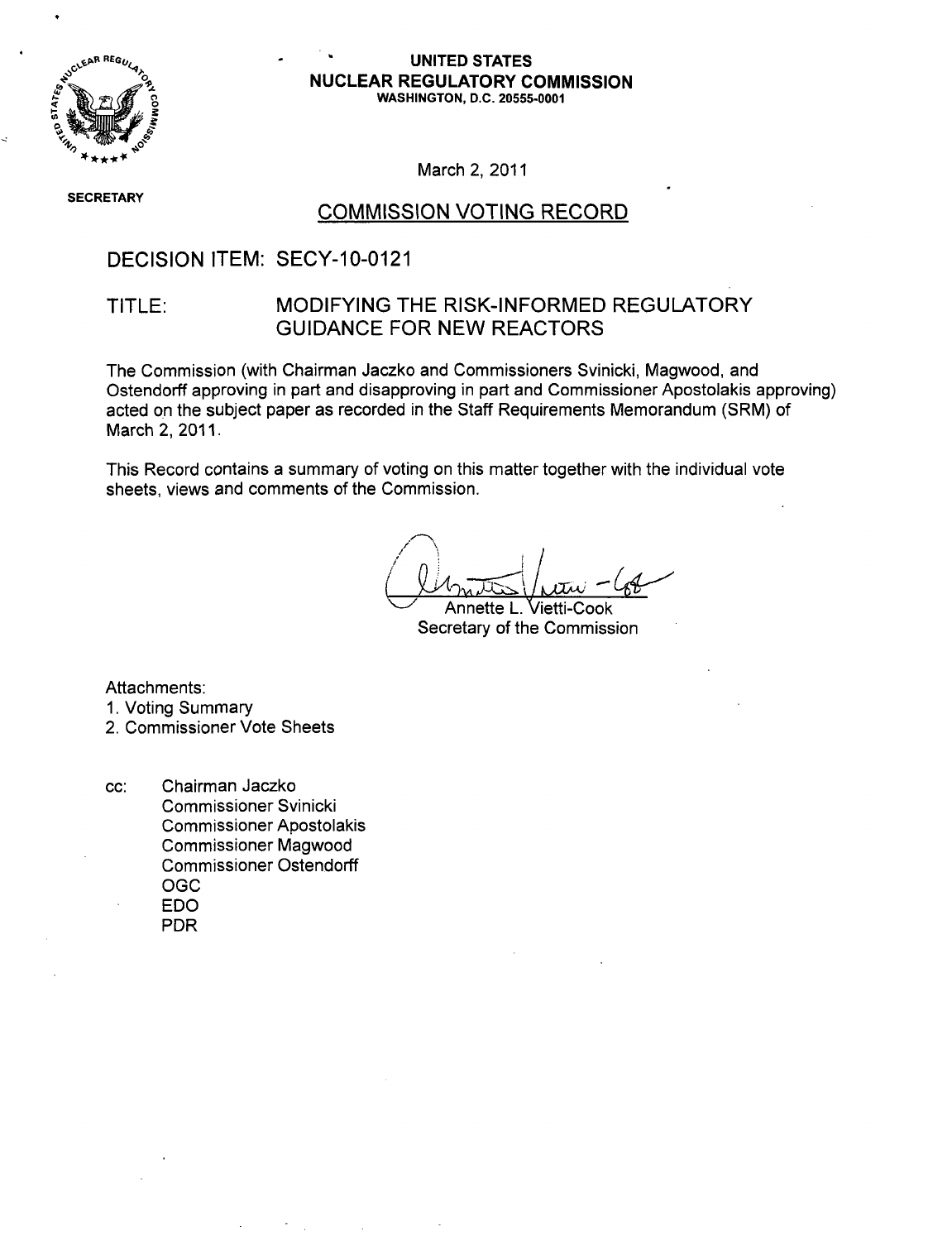

#### **UNITED STATES 0= NUCLEAR** REGULATORY **COMMISSION 0, WASHINGTON, D.C. 20555-0001**

March 2, 2011

**SECRETARY** 

### **COMMISSION VOTING RECORD**

### DECISION ITEM: SECY-10-0121

### TITLE: MODIFYING THE RISK-INFORMED REGULATORY GUIDANCE FOR NEW REACTORS

The Commission (with Chairman Jaczko and Commissioners Svinicki, Magwood, and Ostendorff approving in part and disapproving in part and Commissioner Apostolakis approving) acted on the subject paper as recorded in the Staff Requirements Memorandum (SRM) of March 2, 2011.

This Record contains a summary of voting on this matter together with the individual vote sheets, views and comments of the Commission.

- Annette L. Vietti-Cook Secretary of the Commission

Attachments:

**1.** Voting Summary

2. Commissioner Vote Sheets

cc: Chairman Jaczko Commissioner Svinicki Commissioner Apostolakis Commissioner Magwood Commissioner Ostendorff OGC EDO PDR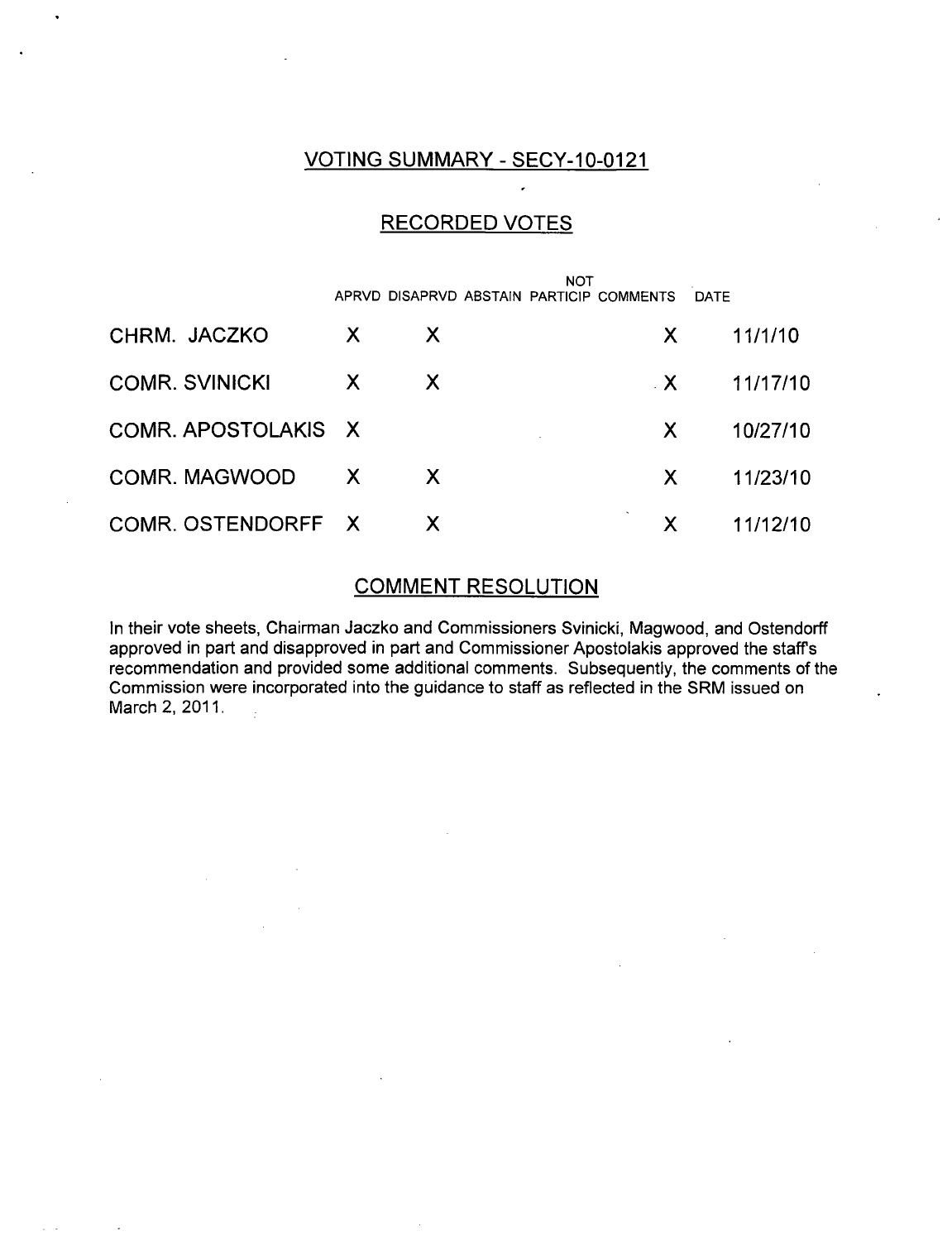### VOTING SUMMARY - SECY-10-0121

### RECORDED VOTES

|                       | <b>NOT</b>   |    |  |                                          |             |          |
|-----------------------|--------------|----|--|------------------------------------------|-------------|----------|
|                       |              |    |  | APRVD DISAPRVD ABSTAIN PARTICIP COMMENTS | <b>DATE</b> |          |
| CHRM. JACZKO          | X            | X. |  | X.                                       |             | 11/1/10  |
| <b>COMR. SVINICKI</b> | X            | X  |  | $\mathbf{X}$                             |             | 11/17/10 |
| COMR. APOSTOLAKIS X   |              |    |  | X.                                       |             | 10/27/10 |
| COMR. MAGWOOD         | $\mathsf{X}$ | X. |  | X                                        |             | 11/23/10 |
| COMR. OSTENDORFF X    |              | X  |  | X                                        |             | 11/12/10 |

### COMMENT RESOLUTION

In their vote sheets, Chairman Jaczko and Commissioners Svinicki, Magwood, and Ostendorff approved in part and disapproved in part and Commissioner Apostolakis approved the staff s recommendation and provided some additional comments. Subsequently, the comments of the Commission were incorporated into the guidance to staff as reflected in the SRM issued on March 2, 2011.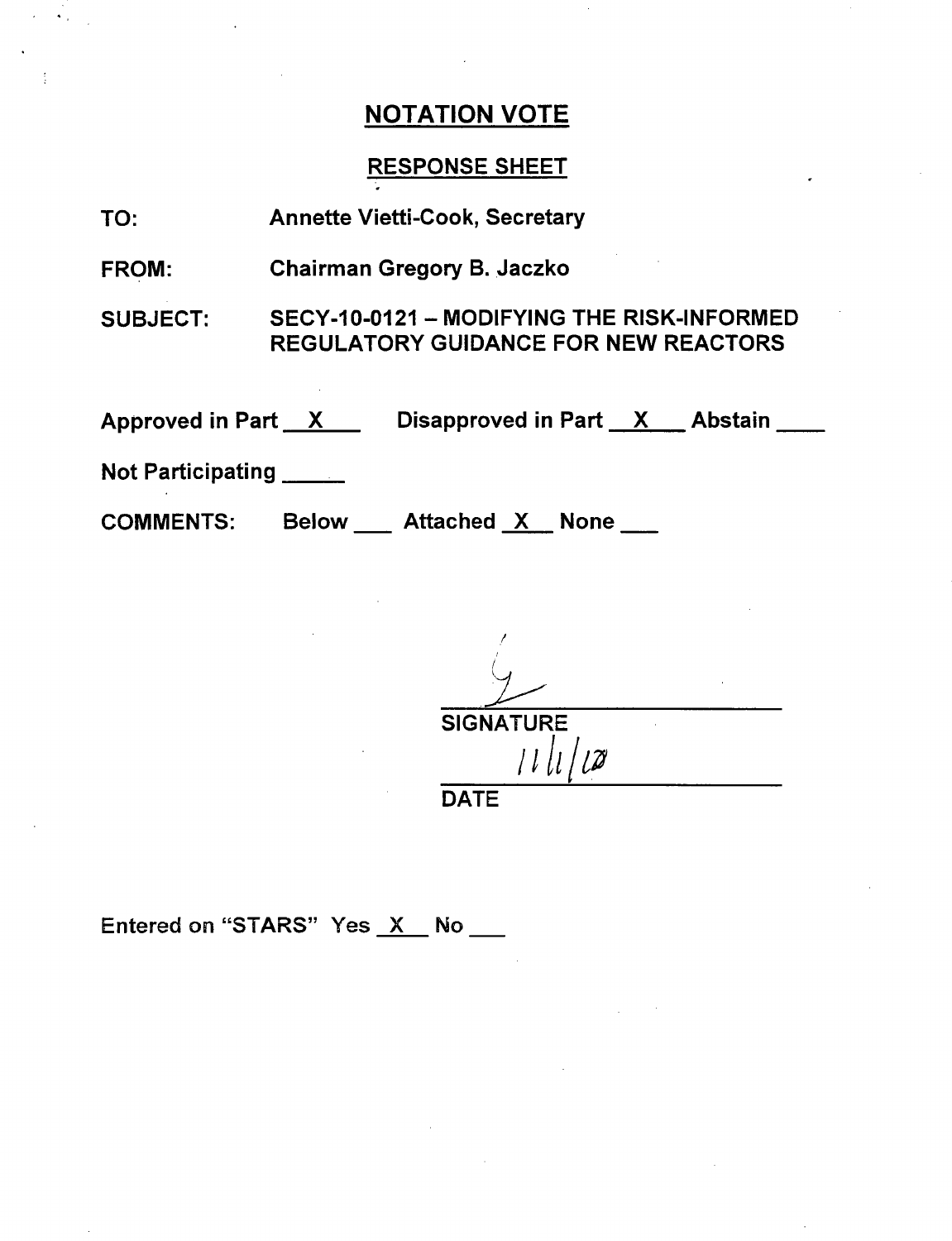### RESPONSE SHEET

| TO: | <b>Annette Vietti-Cook, Secretary</b> |
|-----|---------------------------------------|
|-----|---------------------------------------|

FROM: Chairman Gregory B. Jaczko

SUBJECT: SECY-10-0121 - MODIFYING THE RISK-INFORMED REGULATORY GUIDANCE FOR NEW REACTORS

Approved in Part \_\_X\_\_\_\_\_ Disapproved in Part \_\_X\_\_\_ Abstain

Not Participating

COMMENTS: Below Attached X None

**SIGNATURE / 11** DATE

Entered on "STARS" Yes X No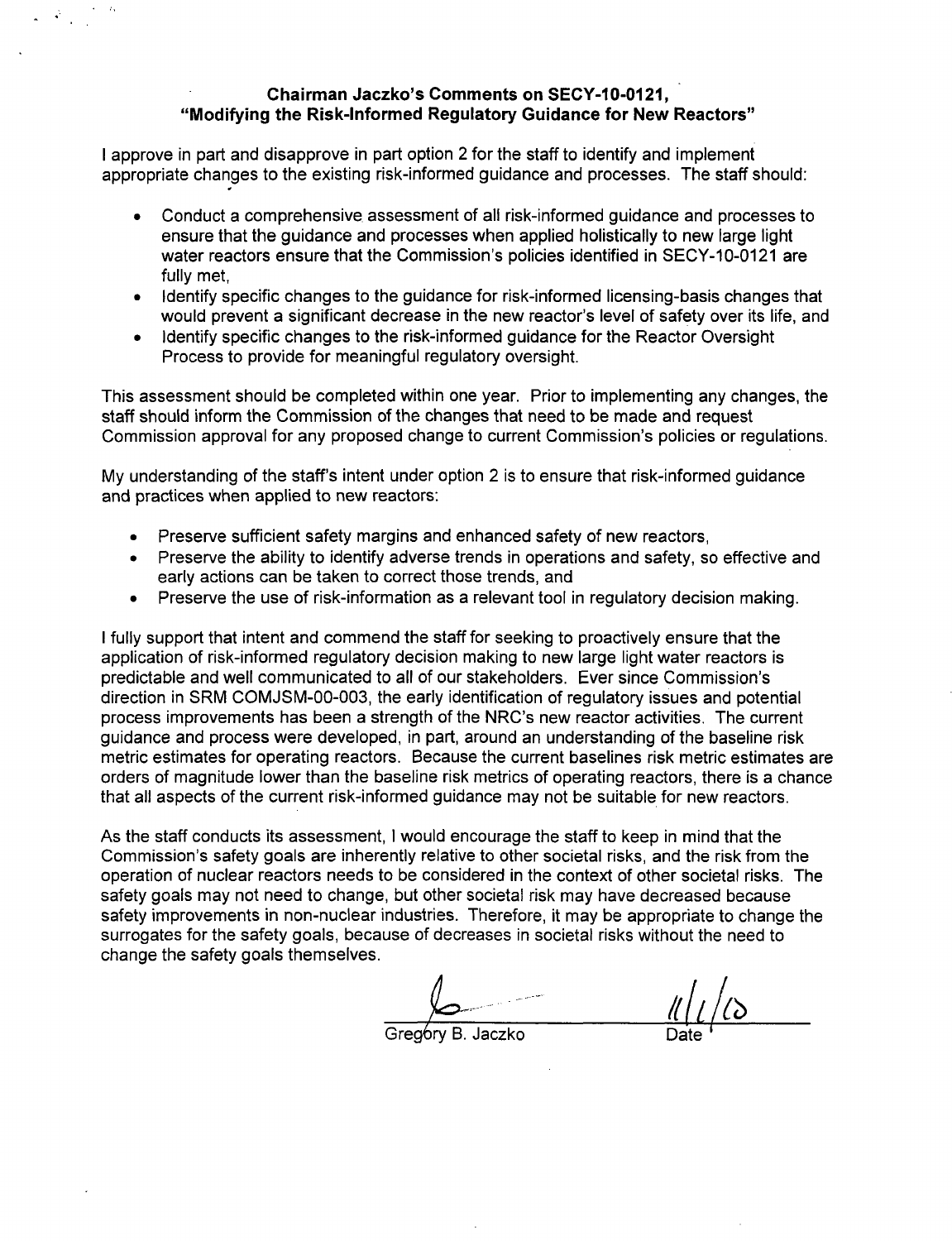#### Chairman Jaczko's Comments on **SECY-10-0121,** "Modifying the Risk-Informed Regulatory Guidance for New Reactors"

I approve in part and disapprove in part option 2 for the staff to identify and implement appropriate changes to the existing risk-informed guidance and processes. The staff should:

- \* Conduct a comprehensive assessment of all risk-informed guidance and processes to ensure that the guidance and processes when applied holistically to new large light water reactors ensure that the Commission's policies identified in SECY-10-0121 are fully met,
- Identify specific changes to the guidance for risk-informed licensing-basis changes that would prevent a significant decrease in the new reactor's level of safety over its life, and
- \* Identify specific changes to the risk-informed guidance for the Reactor Oversight Process to provide for meaningful regulatory oversight.

This assessment should be completed within one year. Prior to implementing any changes, the staff should inform the Commission of the changes that need to be made and request Commission approval for any proposed change to current Commission's policies or regulations.

My understanding of the staff's intent under option 2 is to ensure that risk-informed guidance and practices when applied to new reactors:

- Preserve sufficient safety margins and enhanced safety of new reactors,
- Preserve the ability to identify adverse trends in operations and safety, so effective and early actions can be taken to correct those trends, and
- Preserve the use of risk-information as a relevant tool in regulatory decision making.

I fully support that intent and commend the staff for seeking to proactively ensure that the application of risk-informed regulatory decision making to new large light water reactors is predictable and well communicated to all of our stakeholders. Ever since Commission's direction in SRM COMJSM-00-003, the early identification of regulatory issues and potential process improvements has been a strength of the NRC's new reactor activities. The current guidance and process were developed, in part, around an understanding of the baseline risk metric estimates for operating reactors. Because the current baselines risk metric estimates are orders of magnitude lower than the baseline risk metrics of operating reactors, there is a chance that all aspects of the current risk-informed guidance may not be suitable for new reactors.

As the staff conducts its assessment, I would encourage the staff to keep in mind that the Commission's safety goals are inherently relative to other societal risks, and the risk from the operation of nuclear reactors needs to be considered in the context of other societal risks. The safety goals may not need to change, but other societal risk may have decreased because safety improvements in non-nuclear industries. Therefore, it may be appropriate to change the surrogates for the safety goals, because of decreases in societal risks without the need to change the safety goals themselves.

Greg6ry B. Jaczko Date.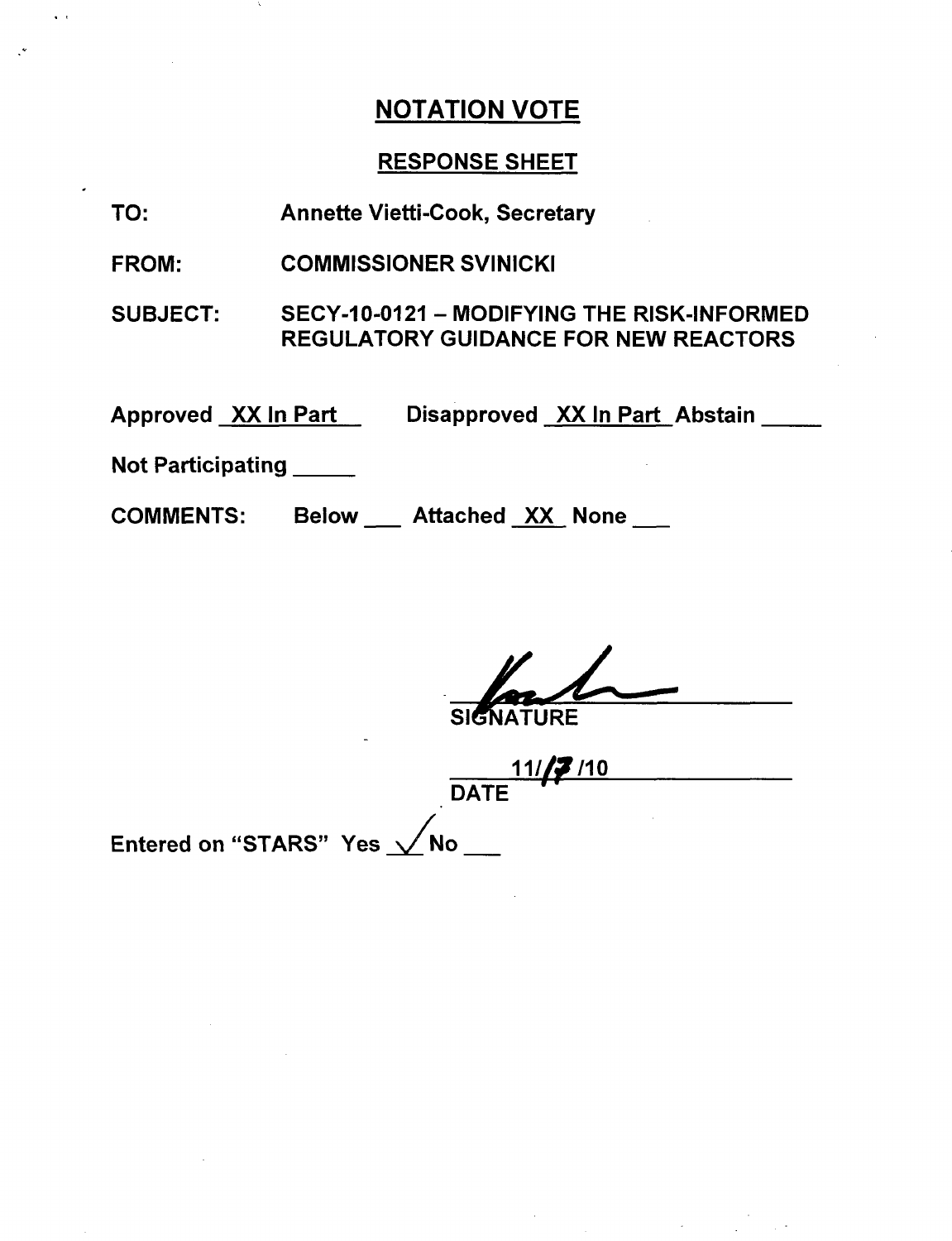### RESPONSE SHEET

- TO: Annette Vietti-Cook, Secretary
- FROM: COMMISSIONER SVINICKI
- SUBJECT: SECY-10-0121 - MODIFYING THE RISK-INFORMED REGULATORY GUIDANCE FOR NEW REACTORS

Approved <u>\_XX In Part\_\_</u>\_\_\_\_Disapproved <u>\_XX In Part</u>\_Abstair

Not Participating **\_**

COMMENTS: Below \_\_ Attached XX None \_\_

**JRE** 

**11/<sub>1</sub>7** /10 **DATE** 

Entered on "STARS" Yes  $\sqrt{}$ No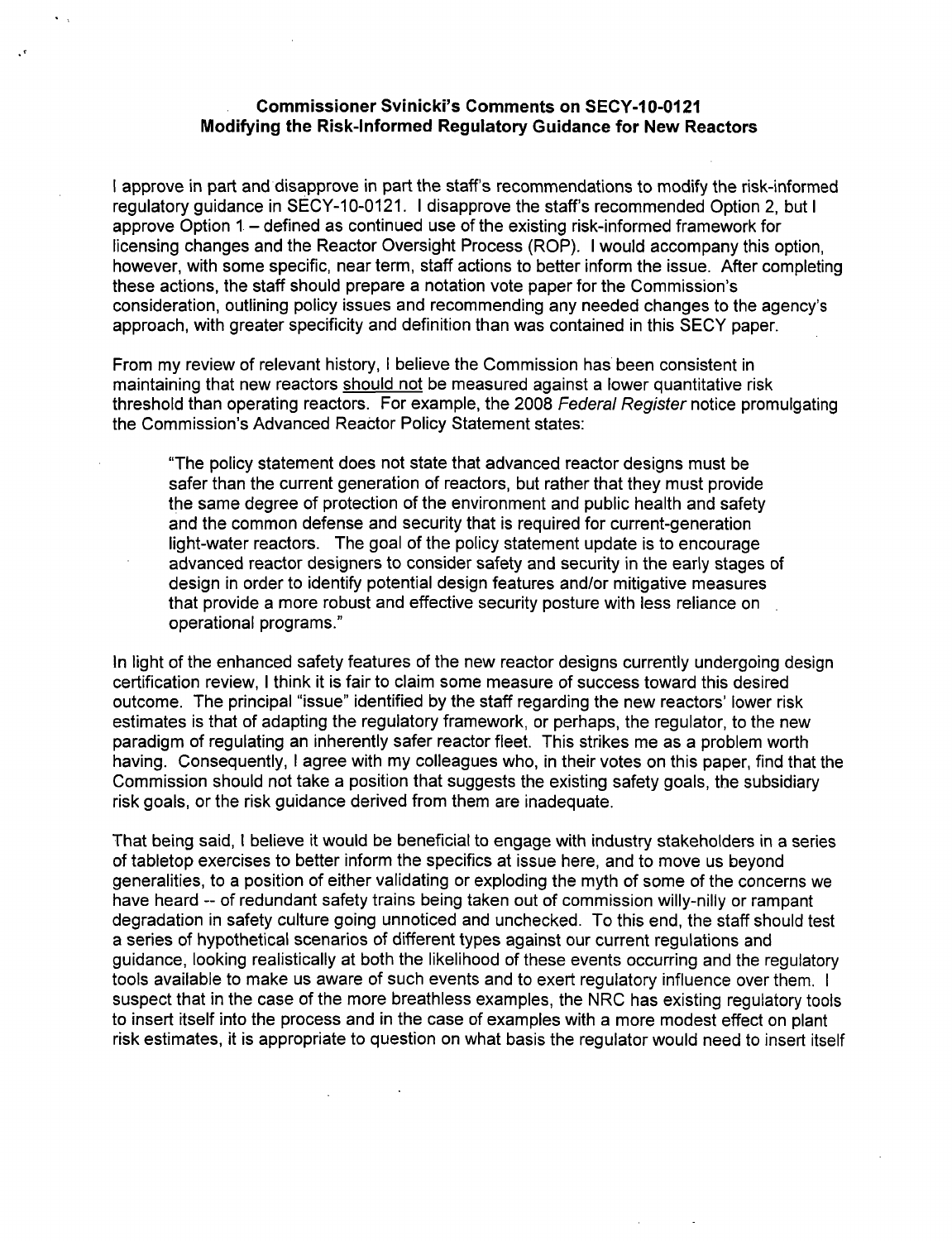#### Commissioner Svinicki's Comments on **SECY-10-0121** Modifying the Risk-informed Regulatory Guidance for New Reactors

I approve in part and disapprove in part the staff's recommendations to modify the risk-informed regulatory guidance in SECY-10-0121. I disapprove the staff's recommended Option 2, but I approve Option 1 – defined as continued use of the existing risk-informed framework for licensing changes and the Reactor Oversight Process (ROP). I would accompany this option, however, with some specific, near term, staff actions to better inform the issue. After completing these actions, the staff should prepare a notation vote paper for the Commission's consideration, outlining policy issues and recommending any needed changes to the agency's approach, with greater specificity and definition than was contained in this SECY paper.

From my review of relevant history, I believe the Commission has been consistent in maintaining that new reactors should not be measured against a lower quantitative risk threshold than operating reactors. For example, the 2008 *Federal Register* notice promulgating the Commission's Advanced Reactor Policy Statement states:

"The policy statement does not state that advanced reactor designs must be safer than the current generation of reactors, but rather that they must provide the same degree of protection of the environment and public health and safety and the common defense and security that is required for current-generation light-water reactors. The goal of the policy statement update is to encourage advanced reactor designers to consider safety and security in the early stages of design in order to identify potential design features and/or mitigative measures that provide a more robust and effective security posture with less reliance on operational programs."

In light of the enhanced safety features of the new reactor designs currently undergoing design certification review, I think it is fair to claim some measure of success toward this desired outcome. The principal "issue" identified by the staff regarding the new reactors' lower risk estimates is that of adapting the regulatory framework, or perhaps, the regulator, to the new paradigm of regulating an inherently safer reactor fleet. This strikes me as a problem worth having. Consequently, I agree with my colleagues who, in their votes on this paper, find that the Commission should not take a position that suggests the existing safety goals, the subsidiary risk goals, or the risk guidance derived from them are inadequate.

That being said, I believe it would be beneficial to engage with industry stakeholders in a series of tabletop exercises to better inform the specifics at issue here, and to move us beyond generalities, to a position of either validating or exploding the myth of some of the concerns we have heard -- of redundant safety trains being taken out of commission willy-nilly or rampant degradation in safety culture going unnoticed and unchecked. To this end, the staff should test a series of hypothetical scenarios of different types against our current regulations and guidance, looking realistically at both the likelihood of these events occurring and the regulatory tools available to make us aware of such events and to exert regulatory influence over them. I suspect that in the case of the more breathless examples, the NRC has existing regulatory tools to insert itself into the process and in the case of examples with a more modest effect on plant risk estimates, it is appropriate to question on what basis the regulator would need to insert itself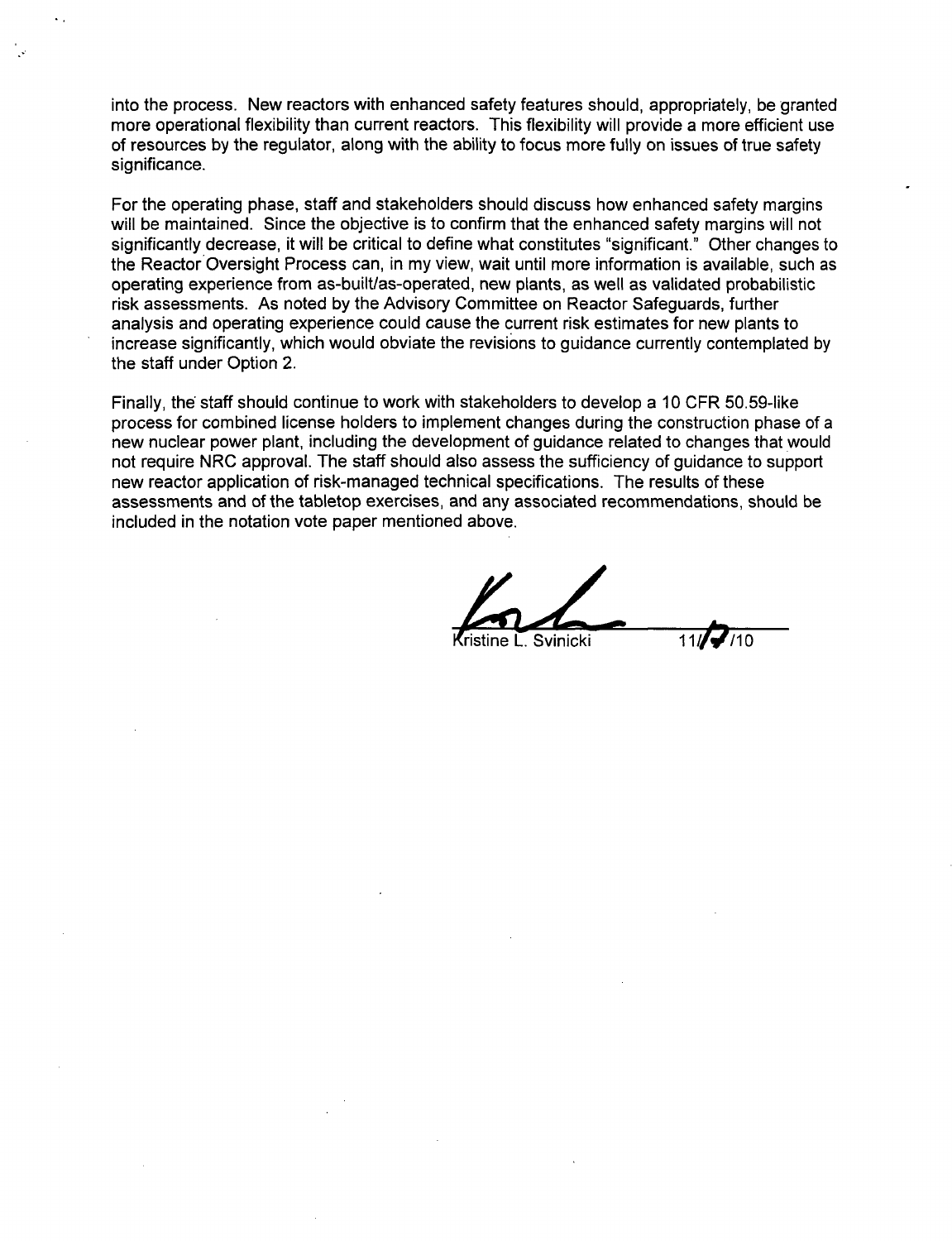into the process. New reactors with enhanced safety features should, appropriately, be granted more operational flexibility than current reactors. This flexibility will provide a more efficient use of resources by the regulator, along with the ability to focus more fully on issues of true safety significance.

For the operating phase, staff and stakeholders should discuss how enhanced safety margins will be maintained. Since the objective is to confirm that the enhanced safety margins will not significantly decrease, it will be critical to define what constitutes "significant." Other changes to the Reactor Oversight Process can, in my view, wait until more information is available, such as operating experience from as-built/as-operated, new plants, as well as validated probabilistic risk assessments. As noted by the Advisory Committee on Reactor Safeguards, further analysis and operating experience could cause the current risk estimates for new plants to increase significantly, which would obviate the revisions to guidance currently contemplated by the staff under Option 2.

Finally, the staff should continue to work with stakeholders to develop a 10 CFR 50.59-like process for combined license holders to implement changes during the construction phase of a new nuclear power plant, including the development of guidance related to changes that would not require NRC approval. The staff should also assess the sufficiency of guidance to support new reactor application of risk-managed technical specifications. The results of these assessments and of the tabletop exercises, and any associated recommendations, should be included in the notation vote paper mentioned above.

 $S$ vinicki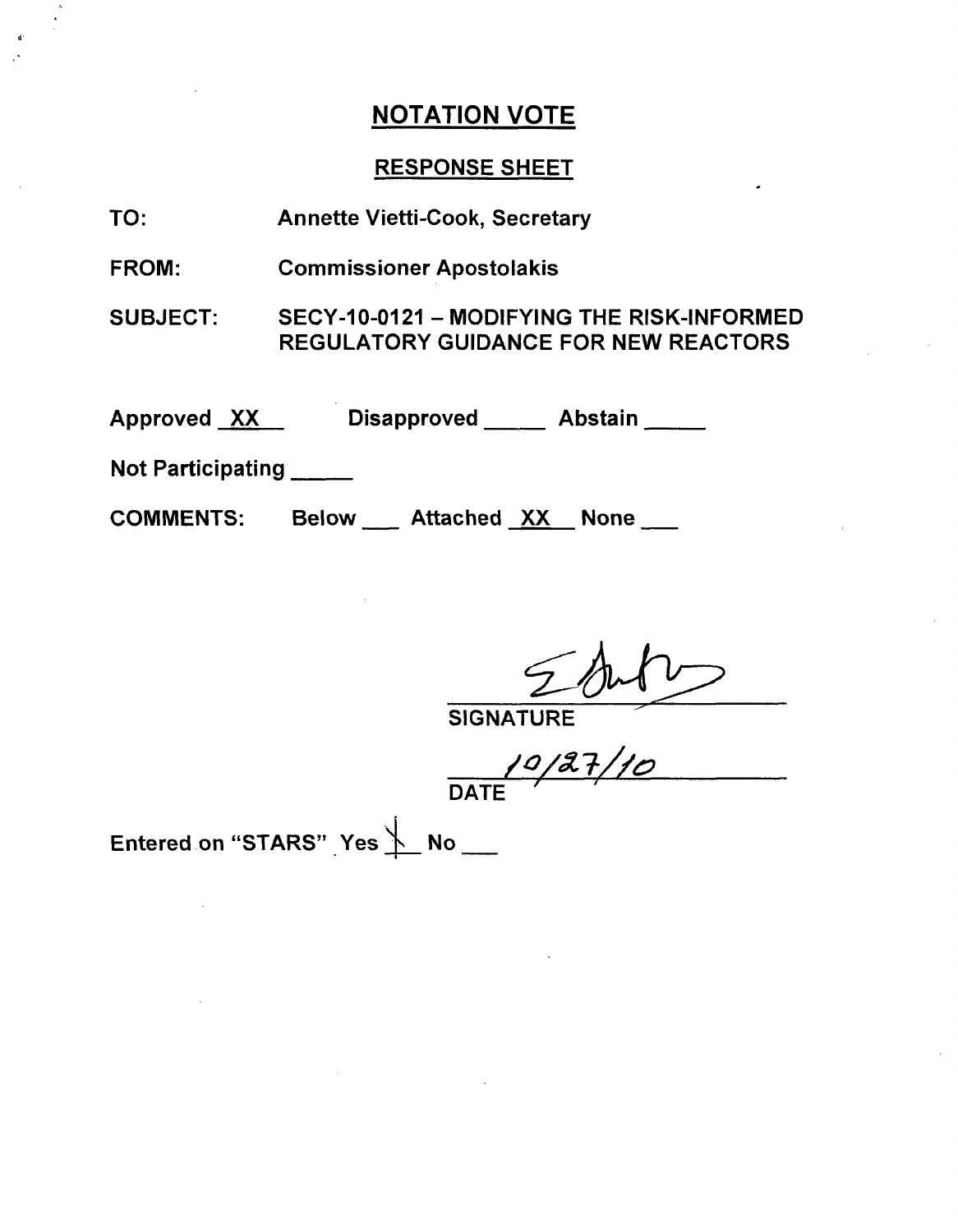### RESPONSE SHEET

- TO: Annette Vietti-Cook, Secretary
- FROM: Commissioner Apostolakis

SUBJECT: SECY-10-0121 - MODIFYING THE RISK-INFORMED REGULATORY GUIDANCE FOR NEW REACTORS

Approved XX Disapproved Abstair

Not Participating **\_**

COMMENTS:

Below Attached XX None

**SIGNATURE** 

DATE

Entered on "STARS" Yes **\Muddle** No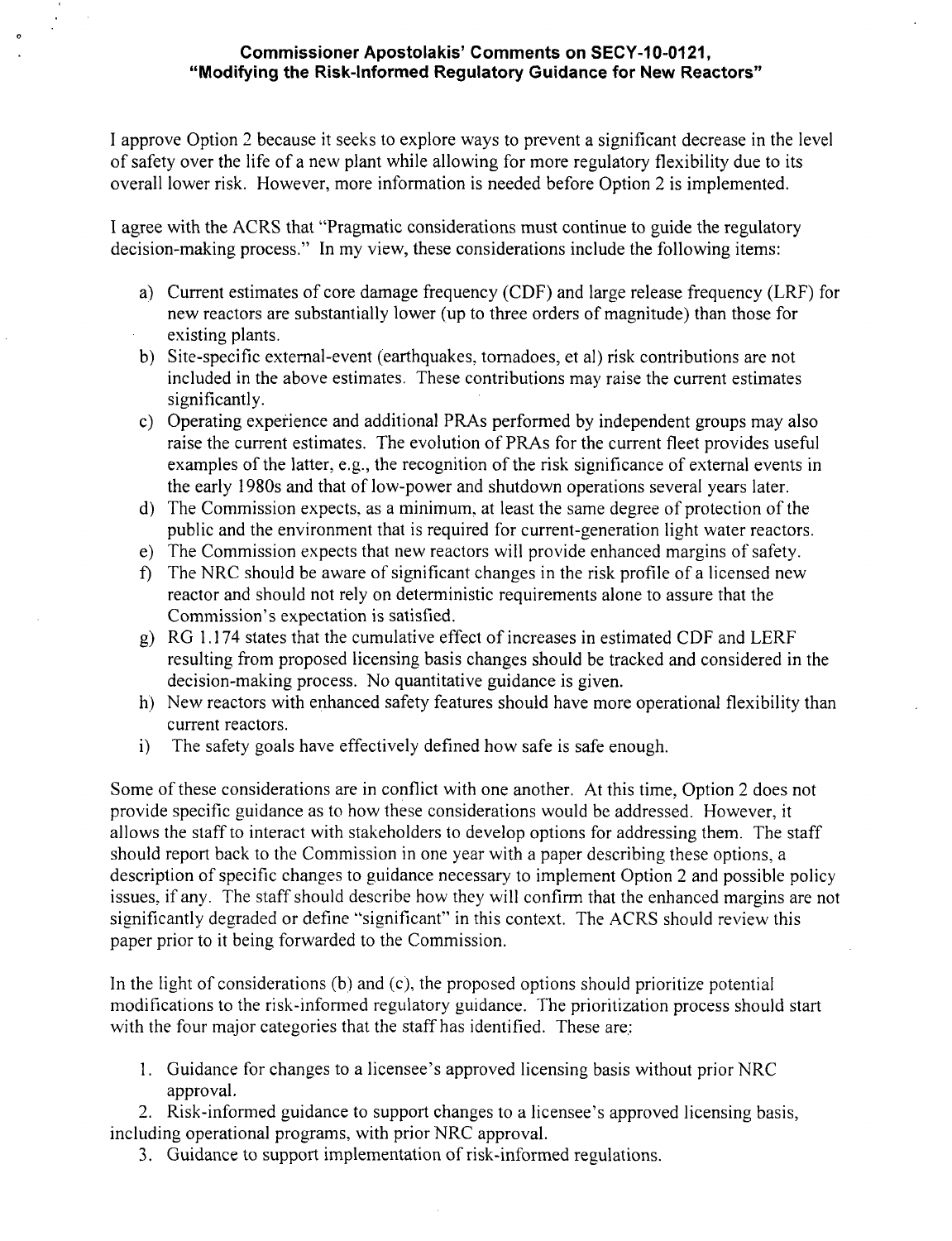#### Commissioner Apostolakis' Comments on **SECY-1 0-0121,** "Modifying the Risk-Informed Regulatory Guidance for New Reactors"

I approve Option 2 because it seeks to explore ways to prevent a significant decrease in the level of safety over the life of a new plant while allowing for more regulatory flexibility due to its overall lower risk. However, more information is needed before Option 2 is implemented.

I agree with the ACRS that "Pragmatic considerations must continue to guide the regulatory decision-making process." In my view, these considerations include the following items:

- a) Current estimates of core damage frequency (CDF) and large release frequency (LRF) for new reactors are substantially lower (up to three orders of magnitude) than those for existing plants.
- b) Site-specific external-event (earthquakes, tornadoes, et al) risk contributions are not included in the above estimates. These contributions may raise the current estimates significantly.
- c) Operating experience and additional PRAs performed by independent groups may also raise the current estimates. The evolution of PRAs for the current fleet provides useful examples of the latter, e.g., the recognition of the risk significance of external events in the early 1980s and that of low-power and shutdown operations several years later.
- d) The Commission expects, as a minimum, at least the same degree of protection of the public and the environment that is required for current-generation light water reactors.
- e) The Commission expects that new reactors will provide enhanced margins of safety.
- f) The NRC should be aware of significant changes in the risk profile of a licensed new reactor and should not rely on deterministic requirements alone to assure that the Commission's expectation is satisfied.
- g) RG **1. 174** states that the cumulative effect of increases in estimated CDF and LERF resulting from proposed licensing basis changes should be tracked and considered in the decision-making process. No quantitative guidance is given.
- h) New reactors with enhanced safety features should have more operational flexibility than current reactors.
- i) The safety goals have effectively defined how safe is safe enough.

Some of these considerations are in conflict with one another. At this time, Option 2 does not provide specific guidance as to how these considerations would be addressed. However, it allows the staff to interact with stakeholders to develop options for addressing them. The staff should report back to the Commission in one year with a paper describing these options, a description of specific changes to guidance necessary to implement Option 2 and possible policy issues, if any. The staff should describe how they will confirm that the enhanced margins are not significantly degraded or define "significant" in this context. The ACRS should review this paper prior to it being forwarded to the Commission.

In the light of considerations (b) and (c), the proposed options should prioritize potential modifications to the risk-informed regulatory guidance. The prioritization process should start with the four major categories that the staff has identified. These are:

1. Guidance for changes to a licensee's approved licensing basis without prior NRC approval.

2. Risk-informed guidance to support changes to a licensee's approved licensing basis, including operational programs, with prior NRC approval.

3. Guidance to support implementation of risk-informed regulations.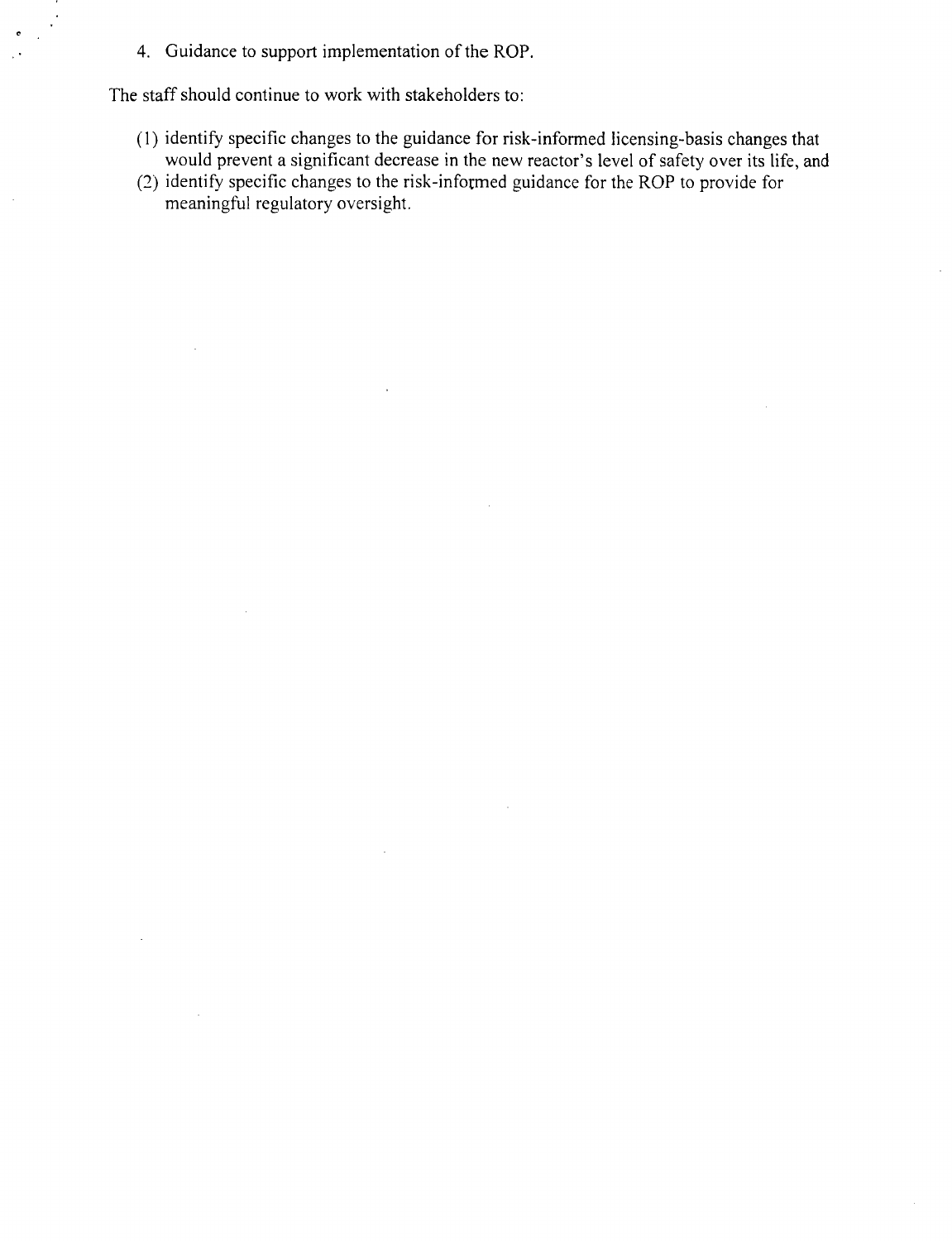4. Guidance to support implementation of the ROP.

The staff should continue to work with stakeholders to:

 $\bar{z}$ 

- (1) identify specific changes to the guidance for risk-informed licensing-basis changes that would prevent a significant decrease in the new reactor's level of safety over its life, and
- (2) identify specific changes to the risk-informed guidance for the ROP to provide for meaningful regulatory oversight.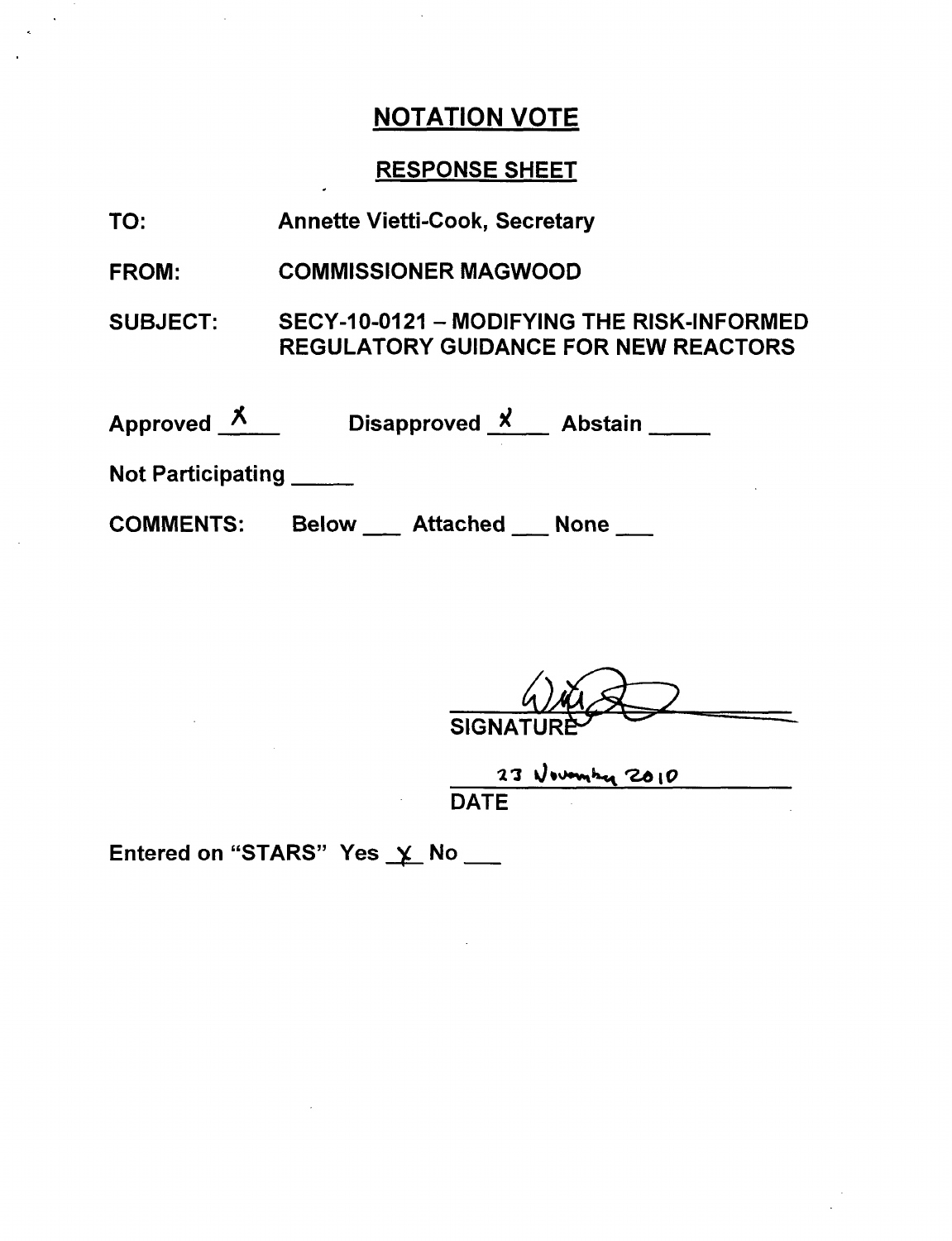### RESPONSE SHEET

| TO: |  | <b>Annette Vietti-Cook, Secretary</b> |  |
|-----|--|---------------------------------------|--|
|-----|--|---------------------------------------|--|

FROM: COMMISSIONER MAGWOOD

SUBJECT: SECY-10-0121 - MODIFYING THE RISK-INFORMED REGULATORY GUIDANCE FOR NEW REACTORS

| <b>Approved</b> | Disapproved X | <b>Abstain</b> |  |
|-----------------|---------------|----------------|--|
|                 |               |                |  |

Not Participating **\_**

**COMMENTS:** Below \_\_ Attached \_\_ None \_\_

 $\overline{\text{SIGN}}$ 

 $23$  November 2010

Entered on "STARS" Yes  $\times$  No \_\_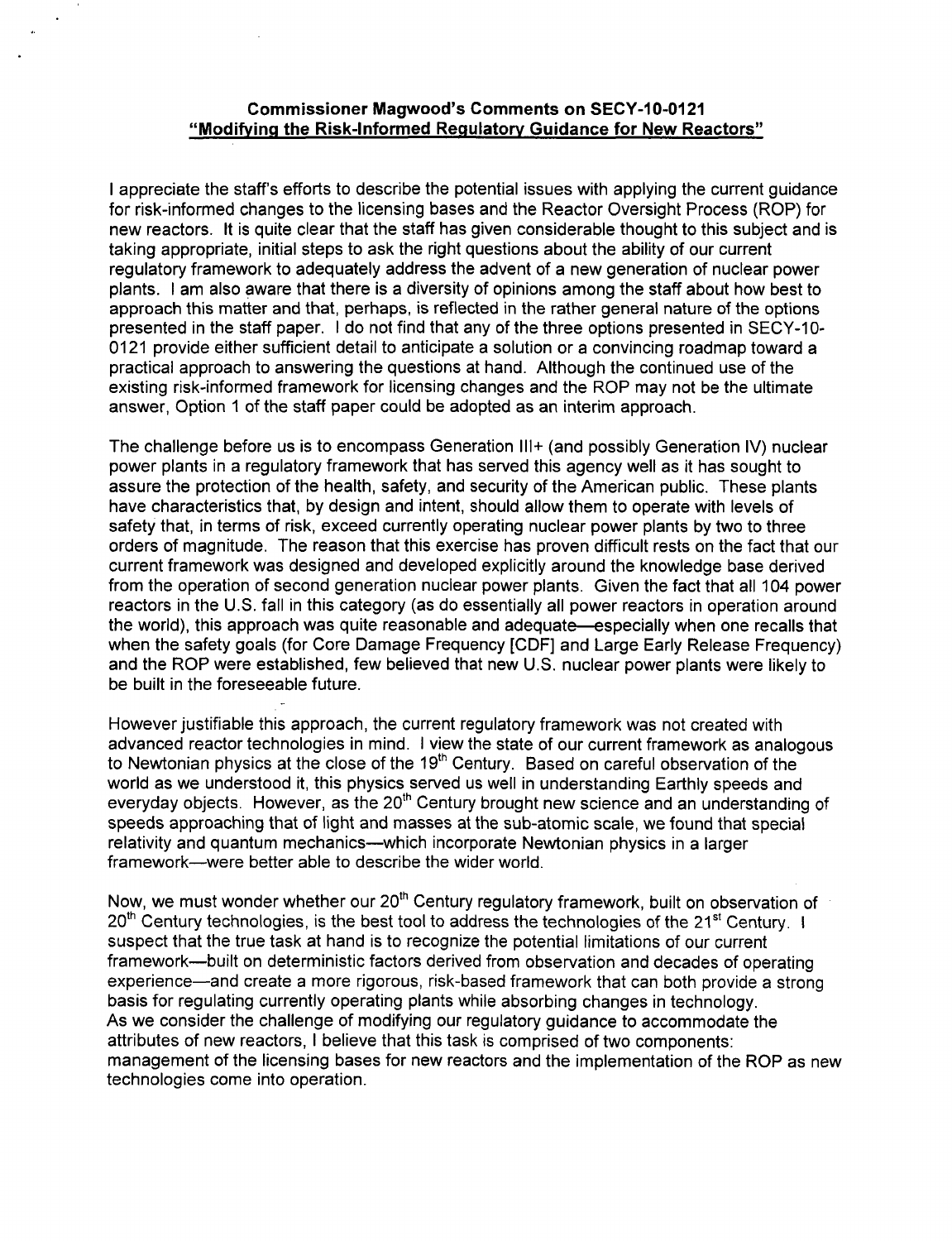#### Commissioner Magwood's Comments on **SECY-1 0-0121** "Modifying the Risk-Informed Regulatory Guidance for New Reactors"

I appreciate the staff's efforts to describe the potential issues with applying the current guidance for risk-informed changes to the licensing bases and the Reactor Oversight Process (ROP) for new reactors. It is quite clear that the staff has given considerable thought to this subject and is taking appropriate, initial steps to ask the right questions about the ability of our current regulatory framework to adequately address the advent of a new generation of nuclear power plants. I am also aware that there is a diversity of opinions among the staff about how best to approach this matter and that, perhaps, is reflected in the rather general nature of the options presented in the staff paper. I do not find that any of the three options presented in SECY-10-0121 provide either sufficient detail to anticipate a solution or a convincing roadmap toward a practical approach to answering the questions at hand. Although the continued use of the existing risk-informed framework for licensing changes and the ROP may not be the ultimate answer, Option 1 of the staff paper could be adopted as an interim approach.

The challenge before us is to encompass Generation **II1+** (and possibly Generation IV) nuclear power plants in a regulatory framework that has served this agency well as it has sought to assure the protection of the health, safety, and security of the American public. These plants have characteristics that, by design and intent, should allow them to operate with levels of safety that, in terms of risk, exceed currently operating nuclear power plants by two to three orders of magnitude. The reason that this exercise has proven difficult rests on the fact that our current framework was designed and developed explicitly around the knowledge base derived from the operation of second generation nuclear power plants. Given the fact that all 104 power reactors in the U.S. fall in this category (as do essentially all power reactors in operation around the world), this approach was quite reasonable and adequate—especially when one recalls that when the safety goals (for Core Damage Frequency [CDF] and Large Early Release Frequency) and the ROP were established, few believed that new U.S. nuclear power plants were likely to be built in the foreseeable future.

However justifiable this approach, the current regulatory framework was not created with advanced reactor technologies in mind. I view the state of our current framework as analogous to Newtonian physics at the close of the  $19<sup>th</sup>$  Century. Based on careful observation of the world as we understood it, this physics served us well in understanding Earthly speeds and everyday objects. However, as the 20<sup>th</sup> Century brought new science and an understanding of speeds approaching that of light and masses at the sub-atomic scale, we found that special relativity and quantum mechanics—which incorporate Newtonian physics in a larger framework-were better able to describe the wider world.

Now, we must wonder whether our 20<sup>th</sup> Century regulatory framework, built on observation of 20<sup>th</sup> Century technologies, is the best tool to address the technologies of the 21<sup>st</sup> Century. I suspect that the true task at hand is to recognize the potential limitations of our current framework-built on deterministic factors derived from observation and decades of operating experience-and create a more rigorous, risk-based framework that can both provide a strong basis for regulating currently operating plants while absorbing changes in technology. As we consider the challenge of modifying our regulatory guidance to accommodate the attributes of new reactors, I believe that this task is comprised of two components: management of the licensing bases for new reactors and the implementation of the ROP as new technologies come into operation.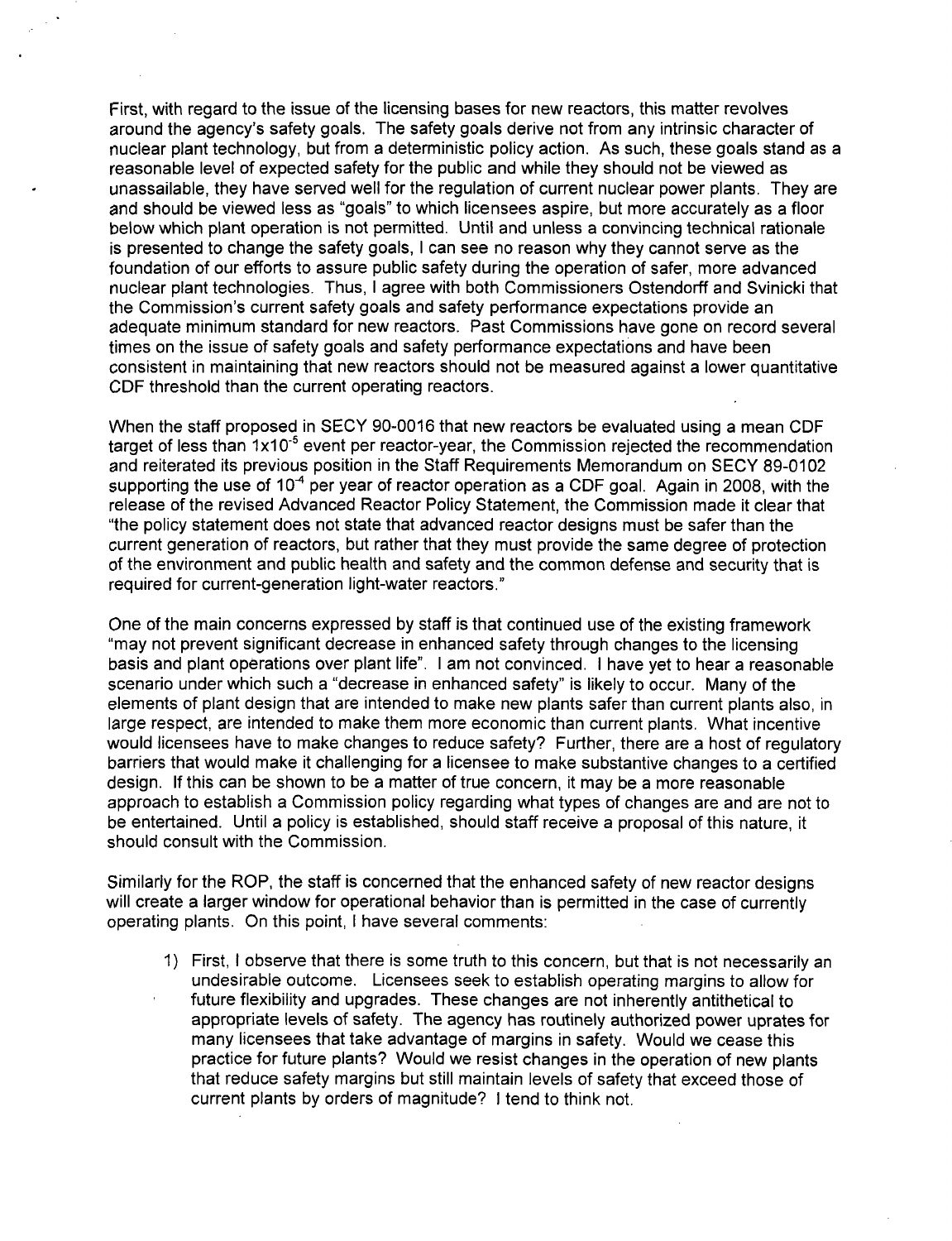First, with regard to the issue of the licensing bases for new reactors, this matter revolves around the agency's safety goals. The safety goals derive not from any intrinsic character of nuclear plant technology, but from a deterministic policy action. As such, these goals stand as a reasonable level of expected safety for the public and while they should not be viewed as unassailable, they have served well for the regulation of current nuclear power plants. They are and should be viewed less as "goals" to which licensees aspire, but more accurately as a floor below which plant operation is not permitted. Until and unless a convincing technical rationale is presented to change the safety goals, I can see no reason why they cannot serve as the foundation of our efforts to assure public safety during the operation of safer, more advanced nuclear plant technologies. Thus, I agree with both Commissioners Ostendorff and Svinicki that the Commission's current safety goals and safety performance expectations provide an adequate minimum standard for new reactors. Past Commissions have gone on record several times on the issue of safety goals and safety performance expectations and have been consistent in maintaining that new reactors should not be measured against a lower quantitative CDF threshold than the current operating reactors.

When the staff proposed in SECY 90-0016 that new reactors be evaluated using a mean CDF target of less than  $1x10^{-5}$  event per reactor-year, the Commission rejected the recommendation and reiterated its previous position in the Staff Requirements Memorandum on SECY 89-0102 supporting the use of  $10<sup>4</sup>$  per year of reactor operation as a CDF goal. Again in 2008, with the release of the revised Advanced Reactor Policy Statement, the Commission made it clear that "the policy statement does not state that advanced reactor designs must be safer than the current generation of reactors, but rather that they must provide the same degree of protection of the environment and public health and safety and the common defense and security that is required for current-generation light-water reactors."

One of the main concerns expressed by staff is that continued use of the existing framework "may not prevent significant decrease in enhanced safety through changes to the licensing basis and plant operations over plant life". I am not convinced. I have yet to hear a reasonable scenario under which such a "decrease in enhanced safety" is likely to occur. Many of the elements of plant design that are intended to make new plants safer than current plants also, in large respect, are intended to make them more economic than current plants. What incentive would licensees have to make changes to reduce safety? Further, there are a host of regulatory barriers that would make it challenging for a licensee to make substantive changes to a certified design. If this can be shown to be a matter of true concern, it may be a more reasonable approach to establish a Commission policy regarding what types of changes are and are not to be entertained. Until a policy is established, should staff receive a proposal of this nature, it should consult with the Commission.

Similarly for the ROP, the staff is concerned that the enhanced safety of new reactor designs will create a larger window for operational behavior than is permitted in the case of currently operating plants. On this point, I have several comments:

1) First, I observe that there is some truth to this concern, but that is not necessarily an undesirable outcome. Licensees seek to establish operating margins to allow for future flexibility and upgrades. These changes are not inherently antithetical to appropriate levels of safety. The agency has routinely authorized power uprates for many licensees that take advantage of margins in safety. Would we cease this practice for future plants? Would we resist changes in the operation of new plants that reduce safety margins but still maintain levels of safety that exceed those of current plants by orders of magnitude? I tend to think not.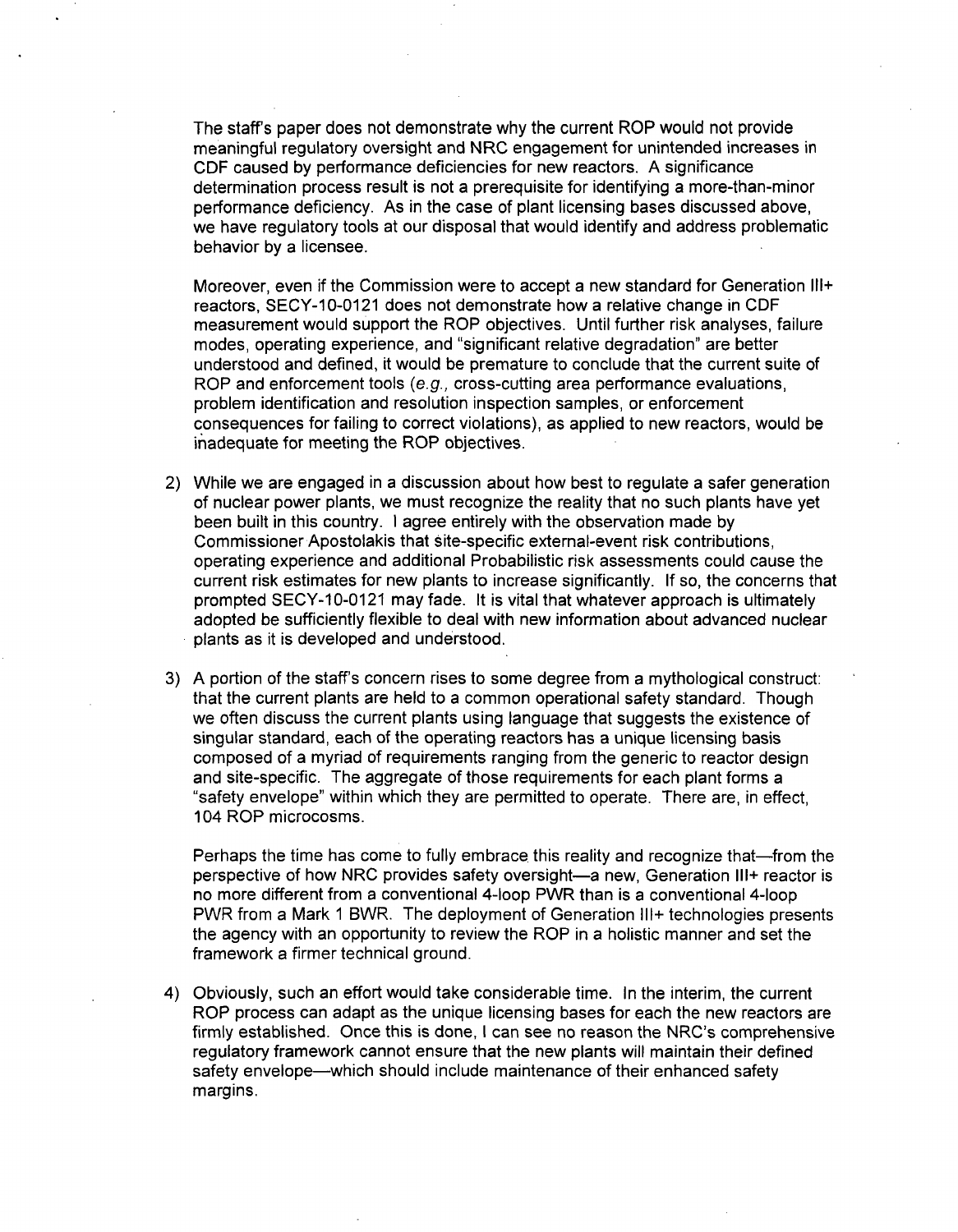The staffs paper does not demonstrate why the current ROP would not provide meaningful regulatory oversight and NRC engagement for unintended increases in **CDF** caused by performance deficiencies for new reactors. A significance determination process result is not a prerequisite for identifying a more-than-minor performance deficiency. As in the case of plant licensing bases discussed above, we have regulatory tools at our disposal that would identify and address problematic behavior by a licensee.

Moreover, even if the Commission were to accept a new standard for Generation **II1+** reactors, SECY-10-0121 does not demonstrate how a relative change in CDF measurement would support the ROP objectives. Until further risk analyses, failure modes, operating experience, and "significant relative degradation" are better understood and defined, it would be premature to conclude that the current suite of ROP and enforcement tools (e.g., cross-cutting area performance evaluations, problem identification and resolution inspection samples, or enforcement consequences for failing to correct violations), as applied to new reactors, would be inadequate for meeting the ROP objectives.

- 2) While we are engaged in a discussion about how best to regulate a safer generation of nuclear power plants, we must recognize the reality that no such plants have yet been built in this country. I agree entirely with the observation made by Commissioner Apostolakis that site-specific external-event risk contributions, operating experience and additional Probabilistic risk assessments could cause the current risk estimates for new plants to increase significantly. If so, the concerns that prompted SECY-10-0121 may fade. It is vital that whatever approach is ultimately adopted be sufficiently flexible to deal with new information about advanced nuclear plants as it is developed and understood.
- 3) A portion of the staff's concern rises to some degree from a mythological construct: that the current plants are held to a common operational safety standard. Though we often discuss the current plants using language that suggests the existence of singular standard, each of the operating reactors has a unique licensing basis composed of a myriad of requirements ranging from the generic to reactor design<br>and site-specific. The aggregate of those requirements for each plant forms a "safety envelope" within which they are permitted to operate. There are, in effect, 104 ROP microcosms.

Perhaps the time has come to fully embrace this reality and recognize that—from the perspective of how NRC provides safety oversight-a new, Generation **II1+** reactor is no more different from a conventional 4-loop PWR than is a conventional 4-loop PWR from a Mark 1 BWR. The deployment of Generation **II1+** technologies presents the agency with an opportunity to review the ROP in a holistic manner and set the framework a firmer technical ground.

4) Obviously, such an effort would take considerable time. In the interim, the current ROP process can adapt as the unique licensing bases for each the new reactors are firmly established. Once this is done, I can see no reason the NRC's comprehensive regulatory framework cannot ensure that the new plants will maintain their defined safety envelope-which should include maintenance of their enhanced safety margins.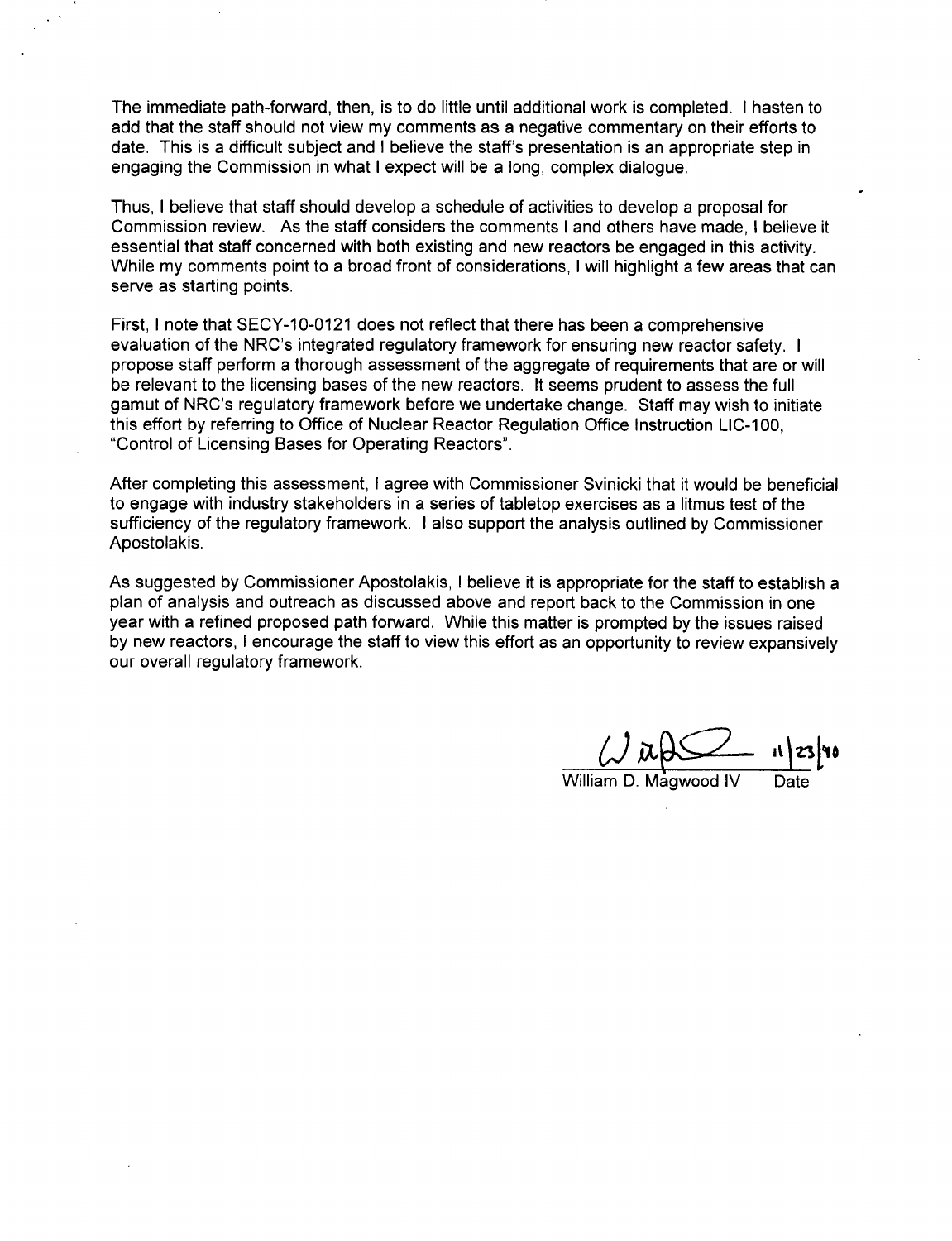The immediate path-forward, then, is to do little until additional work is completed. I hasten to add that the staff should not view my comments as a negative commentary on their efforts to date. This is a difficult subject and I believe the staff's presentation is an appropriate step in engaging the Commission in what I expect will be a long, complex dialogue.

Thus, I believe that staff should develop a schedule of activities to develop a proposal for Commission review. As the staff considers the comments I and others have made, I believe it essential that staff concerned with both existing and new reactors be engaged in this activity. While my comments point to a broad front of considerations, I will highlight a few areas that can serve as starting points.

First, I note that SECY-10-0121 does not reflect that there has been a comprehensive evaluation of the NRC's integrated regulatory framework for ensuring new reactor safety. I propose staff perform a thorough assessment of the aggregate of requirements that are or will be relevant to the licensing bases of the new reactors. It seems prudent to assess the full gamut of NRC's regulatory framework before we undertake change. Staff may wish to initiate this effort by referring to Office of Nuclear Reactor Regulation Office Instruction LIC-100, "Control of Licensing Bases for Operating Reactors".

After completing this assessment, I agree with Commissioner Svinicki that it would be beneficial to engage with industry stakeholders in a series of tabletop exercises as a litmus test of the sufficiency of the regulatory framework. I also support the analysis outlined by Commissioner Apostolakis.

As suggested by Commissioner Apostolakis, I believe it is appropriate for the staff to establish a plan of analysis and outreach as discussed above and report back to the Commission in one year with a refined proposed path forward. While this matter is prompted by the issues raised by new reactors, I encourage the staff to view this effort as an opportunity to review expansively our overall regulatory framework.

William **D.** Magwood IV Date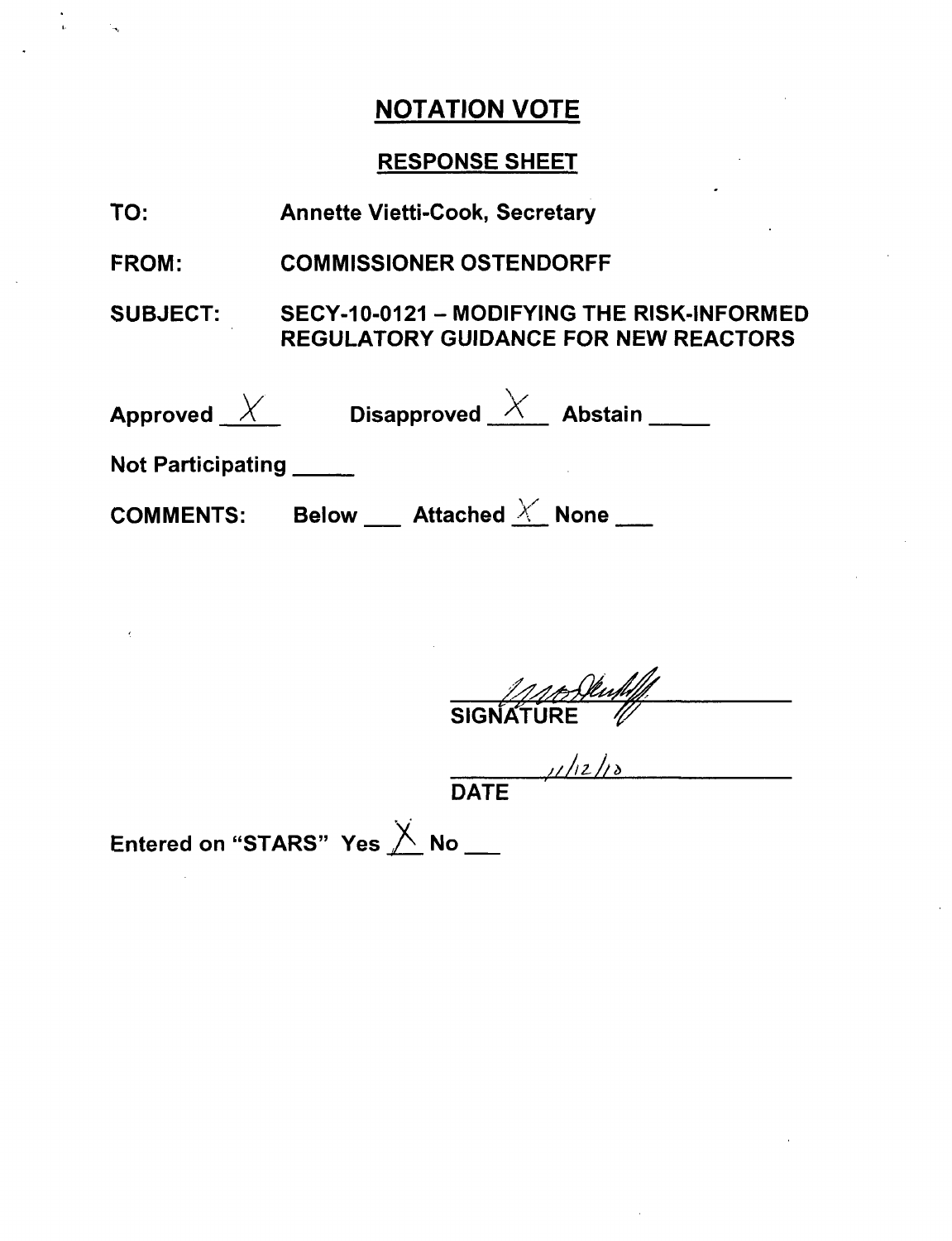# RESPONSE SHEET

| TO:                          | <b>Annette Vietti-Cook, Secretary</b>                                                     |
|------------------------------|-------------------------------------------------------------------------------------------|
| <b>FROM:</b>                 | <b>COMMISSIONER OSTENDORFF</b>                                                            |
| <b>SUBJECT:</b>              | SECY-10-0121 - MODIFYING THE RISK-INFORMED<br><b>REGULATORY GUIDANCE FOR NEW REACTORS</b> |
|                              | Approved $\overline{X}$ Disapproved $\overline{X}$ Abstain _____                          |
| Not Participating <b>Not</b> |                                                                                           |
|                              | COMMENTS: Below ___ Attached $\times$ None ___                                            |

SIGNATURE  $\mathscr{U}$ 

DATE

Entered on "STARS" Yes  ${\overline{\times}}$  No  $\_$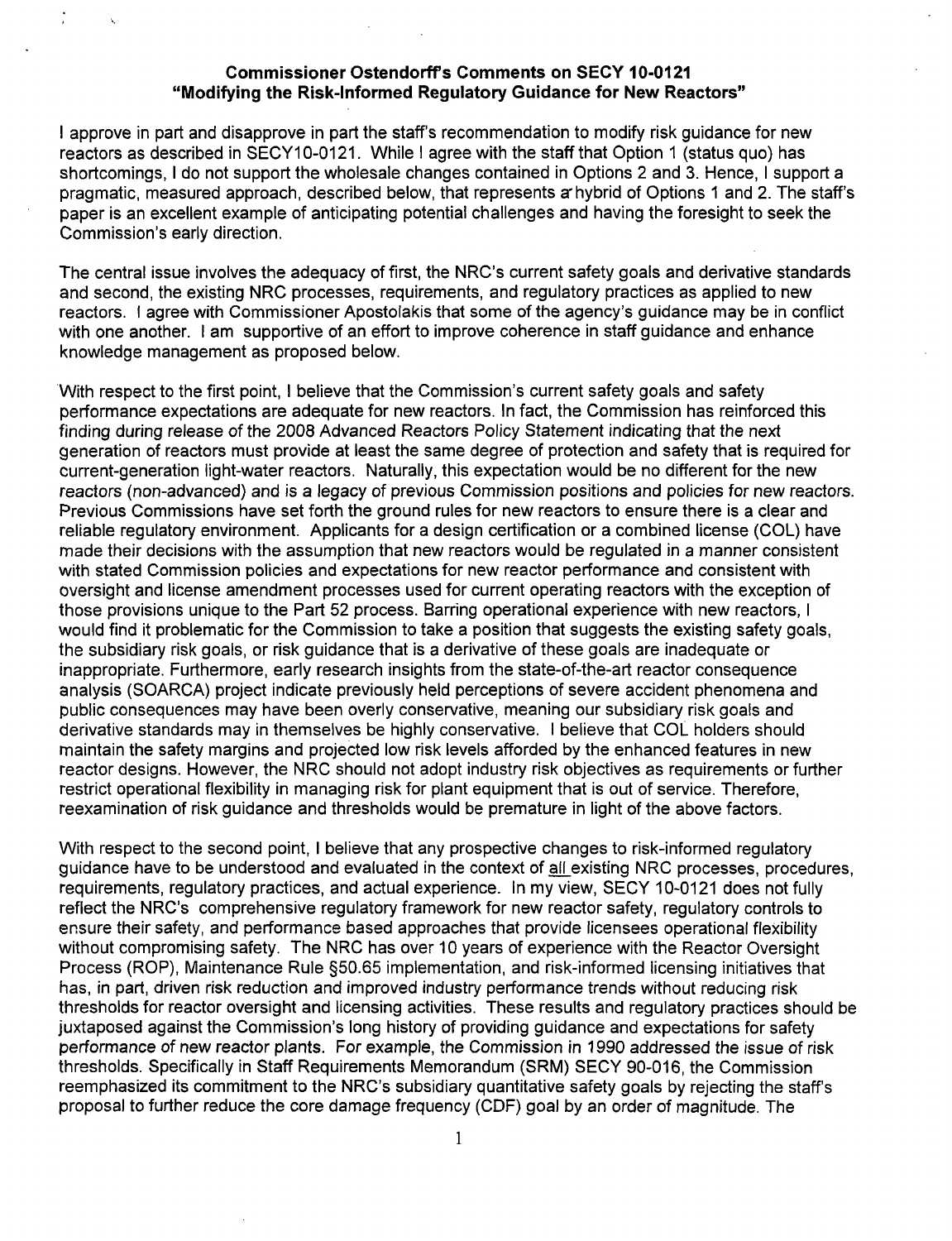#### Commissioner Ostendorff's Comments on **SECY** 10-0121 "Modifying the Risk-Informed Regulatory Guidance for New Reactors"

I approve in part and disapprove in part the staff's recommendation to modify risk guidance for new reactors as described in SECY10-0121. While I agree with the staff that Option **1** (status quo) has shortcomings, I do not support the wholesale changes contained in Options 2 and 3. Hence, I support a pragmatic, measured approach, described below, that represents a7 hybrid of Options **1** and 2. The staff's paper is an excellent example of anticipating potential challenges and having the foresight to seek the Commission's early direction.

The central issue involves the adequacy of first, the NRC's current safety goals and derivative standards and second, the existing NRC processes, requirements, and regulatory practices as applied to new reactors. I agree with Commissioner Apostolakis that some of the agency's guidance may be in conflict with one another. I am supportive of an effort to improve coherence in staff guidance and enhance knowledge management as proposed below.

With respect to the first point, I believe that the Commission's current safety goals and safety performance expectations are adequate for new reactors. In fact, the Commission has reinforced this finding during release of the 2008 Advanced Reactors Policy Statement indicating that the next generation of reactors must provide at least the same degree of protection and safety that is required for current-generation light-water reactors. Naturally, this expectation would be no different for the new reactors (non-advanced) and is a legacy of previous Commission positions and policies for new reactors. Previous Commissions have set forth the ground rules for new reactors to ensure there is a clear and reliable regulatory environment. Applicants for a design certification or a combined license (COL) have made their decisions with the assumption that new reactors would be regulated in a manner consistent with stated Commission policies and expectations for new reactor performance and consistent with oversight and license amendment processes used for current operating reactors with the exception of those provisions unique to the Part 52 process. Barring operational experience with new reactors, I would find it problematic for the Commission to take a position that suggests the existing safety goals, the subsidiary risk goals, or risk guidance that is a derivative of these goals are inadequate or inappropriate. Furthermore, early research insights from the state-of-the-art reactor consequence analysis (SOARCA) project indicate previously held perceptions of severe accident phenomena and public consequences may have been overly conservative, meaning our subsidiary risk goals and derivative standards may in themselves be highly conservative. I believe that **COL** holders should maintain the safety margins and projected low risk levels afforded by the enhanced features in new reactor designs. However, the NRC should not adopt industry risk objectives as requirements or further restrict operational flexibility in managing risk for plant equipment that is out of service. Therefore, reexamination of risk guidance and thresholds would be premature in light of the above factors.

With respect to the second point, I believe that any prospective changes to risk-informed regulatory guidance have to be understood and evaluated in the context of all existing NRC processes, procedures, requirements, regulatory practices, and actual experience. In my view, SECY 10-0121 does not fully reflect the NRC's comprehensive regulatory framework for new reactor safety, regulatory controls to ensure their safety, and performance based approaches that provide licensees operational flexibility without compromising safety. The NRC has over 10 years of experience with the Reactor Oversight Process (ROP), Maintenance Rule §50.65 implementation, and risk-informed licensing initiatives that has, in part, driven risk reduction and improved industry performance trends without reducing risk thresholds for reactor oversight and licensing activities. These results and regulatory practices should be juxtaposed against the Commission's long history of providing guidance and expectations for safety performance of new reactor plants. For example, the Commission in 1990 addressed the issue of risk thresholds. Specifically in Staff Requirements Memorandum (SRM) SECY 90-016, the Commission reemphasized its commitment to the NRC's subsidiary quantitative safety goals by rejecting the staff's proposal to further reduce the core damage frequency (CDF) goal by an order of magnitude. The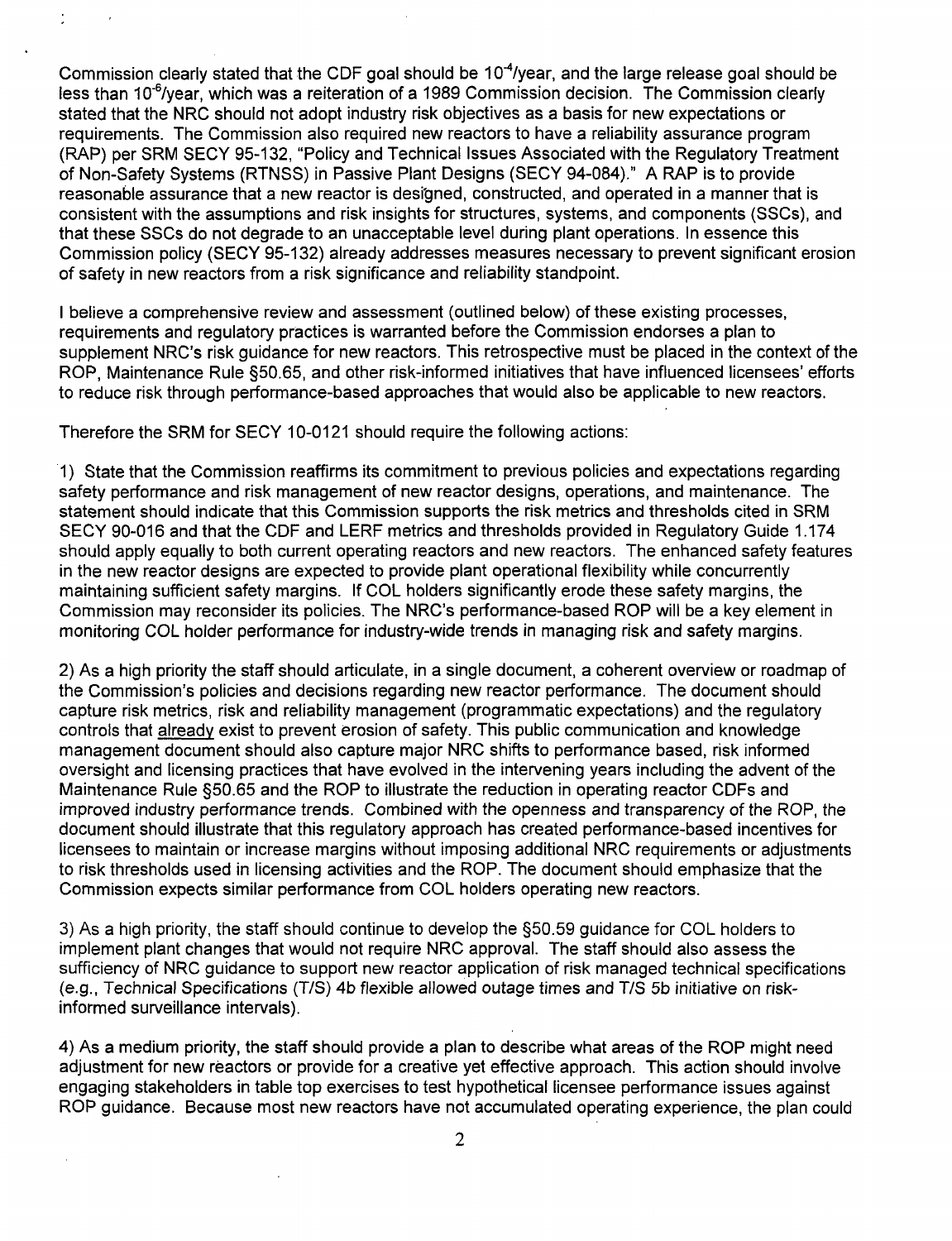Commission clearly stated that the CDF goal should be  $10^{-4}$ /year, and the large release goal should be less than 10<sup>-6</sup>/year, which was a reiteration of a 1989 Commission decision. The Commission clearly stated that the NRC should not adopt industry risk objectives as a basis for new expectations or requirements. The Commission also required new reactors to have a reliability assurance program (RAP) per SRM SECY 95-132, "Policy and Technical Issues Associated with the Regulatory Treatment of Non-Safety Systems (RTNSS) in Passive Plant Designs (SECY 94-084)." A RAP is to provide reasonable assurance that a new reactor is designed, constructed, and operated in a manner that is consistent with the assumptions and risk insights for structures, systems, and components (SSCs), and that these SSCs do not degrade to an unacceptable level during plant operations. In essence this Commission policy (SECY 95-132) already addresses measures necessary to prevent significant erosion of safety in new reactors from a risk significance and reliability standpoint.

I believe a comprehensive review and assessment (outlined below) of these existing processes, requirements and regulatory practices is warranted before the Commission endorses a plan to supplement NRC's risk guidance for new reactors. This retrospective must be placed in the context of the ROP, Maintenance Rule §50.65, and other risk-informed initiatives that have influenced licensees' efforts to reduce risk through performance-based approaches that would also be applicable to new reactors.

Therefore the SRM for SECY 10-0121 should require the following actions:

1) State that the Commission reaffirms its commitment to previous policies and expectations regarding safety performance and risk management of new reactor designs, operations, and maintenance. The statement should indicate that this Commission supports the risk metrics and thresholds cited in SRM SECY 90-016 and that the CDF and LERF metrics and thresholds provided in Regulatory Guide 1.174 should apply equally to both current operating reactors and new reactors. The enhanced safety features in the new reactor designs are expected to provide plant operational flexibility while concurrently maintaining sufficient safety margins. If COL holders significantly erode these safety margins, the Commission may reconsider its policies. The NRC's performance-based ROP will be a key element in monitoring COL holder performance for industry-wide trends in managing risk and safety margins.

2) As a high priority the staff should articulate, in a single document, a coherent overview or roadmap of the Commission's policies and decisions regarding new reactor performance. The document should capture risk metrics, risk and reliability management (programmatic expectations) and the regulatory controls that already exist to prevent erosion of safety. This public communication and knowledge management document should also capture major NRC shifts to performance based, risk informed oversight and licensing practices that have evolved in the intervening years including the advent of the Maintenance Rule §50.65 and the ROP to illustrate the reduction in operating reactor CDFs and improved industry performance trends. Combined with the openness and transparency of the ROP, the document should illustrate that this regulatory approach has created performance-based incentives for licensees to maintain or increase margins without imposing additional NRC requirements or adjustments to risk thresholds used in licensing activities and the ROP. The document should emphasize that the Commission expects similar performance from COL holders operating new reactors.

3) As a high priority, the staff should continue to develop the §50.59 guidance for COL holders to implement plant changes that would not require NRC approval. The staff should also assess the sufficiency of NRC guidance to support new reactor application of risk managed technical specifications (e.g., Technical Specifications (T/S) 4b flexible allowed outage times and T/S **5b** initiative on riskinformed surveillance intervals).

4) As a medium priority, the staff should provide a plan to describe what areas of the ROP might need adjustment for new reactors or provide for a creative yet effective approach. This action should involve engaging stakeholders in table top exercises to test hypothetical licensee performance issues against ROP guidance. Because most new reactors have not accumulated operating experience, the plan could